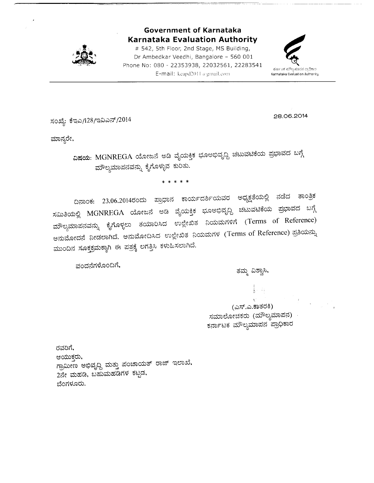

**Government of Karnataka Karnataka Evaluation Authority** 

# 542, 5th Floor, 2nd Stage, MS Building, Dr Ambedkar Veedhi, Bangalore - 560 001 Phone No: 080 - 22353938, 22032561, 22283541 E-mail: keapd2011  $a$  gmail.com



ಸಂಖ್ಯೆ: ಕೆಇಎ/128/ಇವಿಎನ್/2014

28.06.2014

ಮಾನ್ಯರೇ,

ವಿಷಯ: MGNREGA ಯೋಜನೆ ಅಡಿ ವೈಯಕ್ತಿಕ ಭೂಅಭಿವೃದ್ದಿ ಚಟುವಟಿಕೆಯ ಪ್ರಭಾವದ ಬಗ್ಗೆ ಮೌಲ್ಯಮಾಪನವನ್ನು ಕೈಗೊಳ್ಳುವ ಕುರಿತು.

\* \* \* \* \*

ದಿನಾಂಕ: 23.06.2014ರಂದು ಪ್ರಾಧಾನ ಕಾರ್ಯದರ್ಶಿಯವರ ಅಧ್ಯಕ್ಷತೆಯಲ್ಲಿ ನಡೆದ ತಾಂತ್ರಿಕ ಸಮಿತಿಯಲ್ಲಿ MGNREGA ಯೋಜನೆ ಅಡಿ ವೈಯಕ್ತಿಕ ಭೂಅಭಿವೃದ್ದಿ ಚಟುವಟಿಕೆಯ ಪ್ರಭಾವದ ಬಗ್ಗೆ ಮೌಲ್ಯಮಾಪನವನ್ನು ಕೈಗೊಳ್ಳಲು ತಯಾರಿಸಿದ ಉಲ್ಲೇಖಿತ ನಿಯಮಗಳಿಗೆ (Terms of Reference) ಅನುಮೋದನೆ ನೀಡಲಾಗಿದೆ. ಅನುಮೋದಿಸಿದ ಉಲ್ಲೇಖಿತ ನಿಯಮಗಳ (Terms of Reference) ಪ್ರತಿಯನ್ನು ಮುಂದಿನ ಸೂಕ್ತಕ್ರಮಕ್ಕಾಗಿ ಈ ಪತ್ರಕ್ಕೆ ಲಗತ್ತಿಸಿ ಕಳುಹಿಸಲಾಗಿದೆ.

ವಂದನೆಗಳೊಂದಿಗೆ,

ತಮ್ಮ ವಿಶ್ವಾಸಿ,

(ಎಸ್.ಎ.ಕಾತರಕಿ) ಸಮಾಲೋಚಕರು (ಮೌಲ್ಯಮಾಪನ) ಕರ್ನಾಟಕ ಮೌಲ್ಯಮಾಪನ ಪ್ರಾಧಿಕಾರ

ರವರಿಗೆ, ಆಯುಕ್ತರು, ಗ್ರಾಮೀಣ ಅಭಿವೃದ್ದಿ ಮತ್ತು ಪಂಚಾಯತ್ ರಾಜ್ ಇಲಾಖೆ, 2ನೇ ಮಹಡಿ, ಬಹುಮಹಡಿಗಳ ಕಟ್ಟಡ, ಬೆಂಗಳೂರು.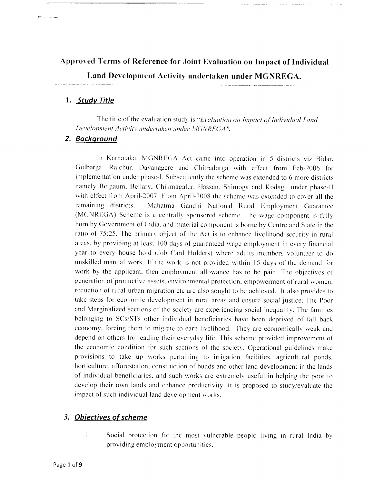# Approved Terms of Reference for Joint Evaluation on Impact of Individual

Land Development Activity undertaken under MGNREGA.

## 1. Study Title

The title of the evaluation study is "Evaluation on Impact of Individual Land Development Activity undertaken under MGNREGA".

## 2. Background

In Karnataka. MGNREGA Act came into operation in 5 districts viz Bidar, Gulbarga, Raichur, Davanagere and Chitradurga with effect from Feb-2006 for implementation under phase-I. Subsequently the scheme was extended to 6 more districts namely Belgaum, Bellary, Chikmagalur, Hassan, Shimoga and Kodagu under phase-II with effect from April-2007. From April-2008 the scheme was extended to cover all the remaining districts. Mahatma Gandhi National Rural Employment Guarantee (MGNREGA) Scheme is a centrally sponsored scheme. The wage component is fully born by Government of India, and material component is borne by Centre and State in the ratio of 75:25. The primary object of the Act is to enhance livelihood security in rural areas, by providing at least 100 days of guaranteed wage employment in every financial year to every house hold (Job Card Holders) where adults members volunteer to do unskilled manual work. If the work is not provided within 15 days of the demand for work by the applicant, then employment allowance has to be paid. The objectives of generation of productive assets, environmental protection, empowerment of rural women, reduction of rural-urban migration etc are also sought to be achieved. It also provides to take steps for economic development in rural areas and ensure social justice. The Poor and Marginalized sections of the society are experiencing social inequality. The families belonging to SCs/STs other individual beneficiaries have been deprived of fall back economy, forcing them to migrate to earn livelihood. They are economically weak and depend on others for leading their everyday life. This scheme provided improvement of the economic condition for such sections of the society. Operational guidelines make provisions to take up works pertaining to irrigation facilities, agricultural ponds, horticulture, afforestation, construction of bunds and other land development in the lands of individual beneficiaries, and such works are extremely useful in helping the poor to develop their own lands and enhance productivity. It is proposed to study/evaluate the impact of such individual land development works.

# 3. Objectives of scheme

 $\mathbf{i}$ . Social protection for the most vulnerable people living in rural India by providing employment opportunities.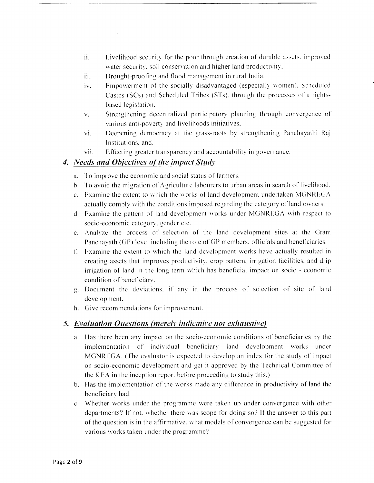- ii. Livelihood security for the poor through creation of durable assets, improved water security, soil conservation and higher land productivity.
- Drought-proofing and flood management in rural India. iii.
- Empowerment of the socially disadvantaged (especially women). Scheduled  $iv$ . Castes (SCs) and Scheduled Tribes (STs), through the processes of a rightsbased legislation.
- Strengthening decentralized participatory planning through convergence of  $V_{\star}$ various anti-poverty and livelihoods initiatives,
- Deepening democracy at the grass-roots by strengthening Panchayathi Raj  $Vi.$ Institutions, and.
- Effecting greater transparency and accountability in governance. vii.

# 4. Needs and Objectives of the impact Study

- a. To improve the economic and social status of farmers.
- b. To avoid the migration of Agriculture labourers to urban areas in search of livelihood.
- c. Examine the extent to which the works of land development undertaken MGNREGA actually comply with the conditions imposed regarding the category of land owners.
- d. Examine the pattern of land development works under MGNREGA with respect to socio-economic category, gender etc.
- e. Analyze the process of selection of the land development sites at the Gram Panchayath (GP) level including the role of GP members, officials and beneficiaries.
- f. Examine the extent to which the land development works have actually resulted in creating assets that improves productivity, crop pattern, irrigation facilities, and drip irrigation of land in the long term which has beneficial impact on socio - economic condition of beneficiary.
- g. Document the deviations, if any in the process of selection of site of land development.
- h. Give recommendations for improvement.

# 5. Evaluation Questions (merely indicative not exhaustive)

- a. Has there been any impact on the socio-economic conditions of beneficiaries by the implementation of individual beneficiary land development works under MGNREGA. (The evaluator is expected to develop an index for the study of impact on socio-economic development and get it approved by the Technical Committee of the KEA in the inception report before proceeding to study this.)
- b. Has the implementation of the works made any difference in productivity of land the beneficiary had.
- c. Whether works under the programme were taken up under convergence with other departments? If not, whether there was scope for doing so? If the answer to this part of the question is in the affirmative, what models of convergence can be suggested for various works taken under the programme?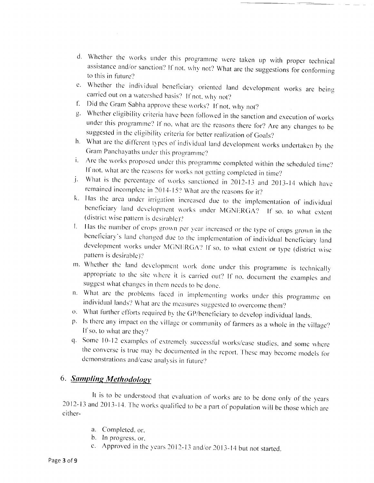- d. Whether the works under this programme were taken up with proper technical assistance and/or sanction? If not, why not? What are the suggestions for conforming to this in future?
- e. Whether the individual beneficiary oriented land development works are being carried out on a watershed basis? If not, why not?
- f. Did the Gram Sabha approve these works? If not, why not?
- g. Whether eligibility criteria have been followed in the sanction and execution of works under this programme? If no, what are the reasons there for? Are any changes to be suggested in the eligibility criteria for better realization of Goals?
- h. What are the different types of individual land development works undertaken by the Gram Panchayaths under this programme?
- i. Are the works proposed under this programme completed within the scheduled time? If not, what are the reasons for works not getting completed in time?
- j. What is the percentage of works sanctioned in 2012-13 and 2013-14 which have remained incomplete in 2014-15? What are the reasons for it?
- k. Has the area under irrigation increased due to the implementation of individual beneficiary land development works under MGNERGA? If so, to what extent (district wise pattern is desirable)?
- 1. Has the number of crops grown per year increased or the type of crops grown in the beneficiary's land changed due to the implementation of individual beneficiary land development works under MGNERGA? If so, to what extent or type (district wise pattern is desirable)?
- m. Whether the land development work done under this programme is technically appropriate to the site where it is carried out? If no, document the examples and suggest what changes in them needs to be done.
- n. What are the problems faced in implementing works under this programme on individual lands? What are the measures suggested to overcome them?
- o. What further efforts required by the GP/beneficiary to develop individual lands.
- p. Is there any impact on the village or community of farmers as a whole in the village? If so, to what are they?
- q. Some 10-12 examples of extremely successful works/case studies, and some where the converse is true may be documented in the report. These may become models for demonstrations and/case analysis in future?

# 6. Sampling Methodology

It is to be understood that evaluation of works are to be done only of the years 2012-13 and 2013-14. The works qualified to be a part of population will be those which are either-

- a. Completed, or,
- b. In progress, or,
- c. Approved in the years 2012-13 and/or 2013-14 but not started.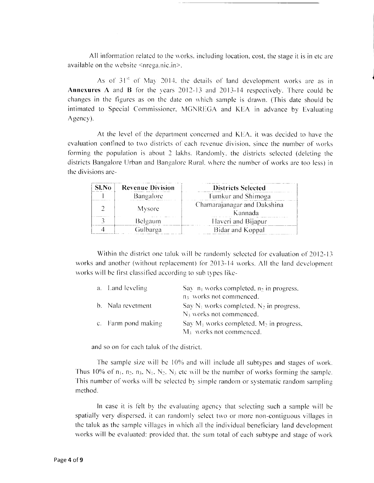All information related to the works, including location, cost, the stage it is in etc are available on the website <nrega.nic.in>.

As of 31<sup>st</sup> of May 2014, the details of land development works are as in Annexures A and B for the vears 2012-13 and 2013-14 respectively. There could be changes in the figures as on the date on which sample is drawn. (This date should be intimated to Special Commissioner, MGNREGA and KEA in advance by Evaluating Agency).

At the level of the department concerned and KEA, it was decided to have the evaluation confined to two districts of each revenue division, since the number of works forming the population is about 2 lakhs. Randomly, the districts selected (deleting the districts Bangalore Urban and Bangalore Rural, where the number of works are too less) in the divisions are-

| Sl.No | <b>Revenue Division</b> | <b>Districts Selected</b>              |
|-------|-------------------------|----------------------------------------|
|       | <b>Bangalore</b>        | Tumkur and Shimoga                     |
|       | Mysore.                 | Chamarajanagar and Dakshina<br>Kannada |
|       | Belgaum                 | Haveri and Bijapur                     |
|       | Gulbarga                | Bidar and Koppal                       |

Within the district one taluk will be randomly selected for evaluation of 2012-13 works and another (without replacement) for 2013-14 works. All the land development works will be first classified according to sub types like-

| a. Land leveling    | Say $n_1$ works completed, $n_2$ in progress.                   |
|---------------------|-----------------------------------------------------------------|
|                     | n <sub>3</sub> works not commenced.                             |
| b. Nala revetment   | Say N <sub>1</sub> works completed, N <sub>2</sub> in progress, |
|                     | N <sub>3</sub> works not commenced.                             |
| c. Farm pond making | Say $M_1$ works completed, $M_2$ in progress,                   |
|                     | M <sub>3</sub> works not commenced.                             |

and so on for each taluk of the district.

The sample size will be 10% and will include all subtypes and stages of work. Thus 10% of  $n_1$ ,  $n_2$ ,  $n_3$ ,  $N_1$ ,  $N_2$ .  $N_3$  etc will be the number of works forming the sample. This number of works will be selected by simple random or systematic random sampling method.

In case it is felt by the evaluating agency that selecting such a sample will be spatially very dispersed, it can randomly select two or more non-contiguous villages in the taluk as the sample villages in which all the individual beneficiary land development works will be evaluated: provided that, the sum total of each subtype and stage of work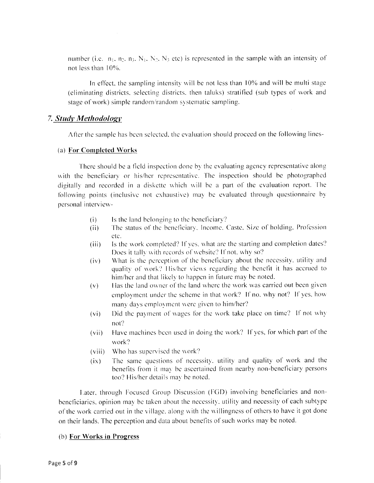number (i.e.  $n_1$ ,  $n_2$ ,  $n_3$ ,  $N_1$ ,  $N_2$ ,  $N_3$  etc) is represented in the sample with an intensity of not less than 10%.

In effect, the sampling intensity will be not less than 10% and will be multi stage (eliminating districts, selecting districts, then taluks) stratified (sub types of work and stage of work) simple random/random systematic sampling.

### 7. Study Methodology

After the sample has been selected, the evaluation should proceed on the following lines-

#### (a) For Completed Works

There should be a field inspection done by the evaluating agency representative along with the beneficiary or his/her representative. The inspection should be photographed digitally and recorded in a diskette which will be a part of the evaluation report. The following points (inclusive not exhaustive) may be evaluated through questionnaire by personal interview-

- Is the land belonging to the beneficiary?  $(i)$
- The status of the beneficiary, Income, Caste, Size of holding, Profession  $(ii)$ etc.
- Is the work completed? If ves, what are the starting and completion dates?  $(iii)$ Does it tally with records of website? If not, why so?
- What is the perception of the beneficiary about the necessity, utility and  $(iv)$ quality of work? His/her views regarding the benefit it has accrued to him/her and that likely to happen in future may be noted.
- Has the land owner of the land where the work was carried out been given  $(v)$ employment under the scheme in that work? If no, why not? If yes, how many days employment were given to him/her?
- Did the payment of wages for the work take place on time? If not why  $(vi)$ not?
- Have machines been used in doing the work? If yes, for which part of the  $(vii)$ work?
- Who has supervised the work?  $(viii)$
- The same questions of necessity, utility and quality of work and the  $(ix)$ benefits from it may be ascertained from nearby non-beneficiary persons too? His/her details may be noted.

Later, through Focused Group Discussion (FGD) involving beneficiaries and nonbeneficiaries, opinion may be taken about the necessity, utility and necessity of each subtype of the work carried out in the village, along with the willingness of others to have it got done on their lands. The perception and data about benefits of such works may be noted.

#### (b) For Works in Progress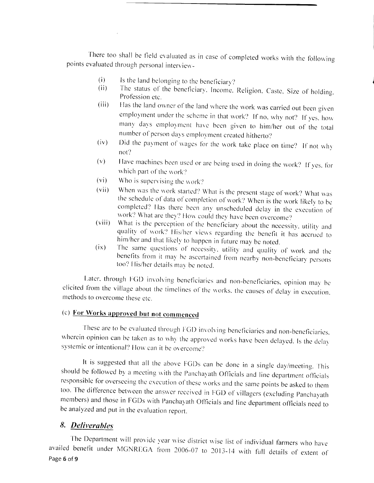There too shall be field evaluated as in case of completed works with the following points evaluated through personal interview-

- $(i)$ Is the land belonging to the beneficiary?
- The status of the beneficiary, Income, Religion, Caste, Size of holding,  $(ii)$ Profession etc.
- Has the land owner of the land where the work was carried out been given  $(iii)$ employment under the scheme in that work? If no, why not? If yes, how many days employment have been given to him/her out of the total number of person days employment created hitherto?
- Did the payment of wages for the work take place on time? If not why  $(iv)$ not?
- Have machines been used or are being used in doing the work? If yes, for  $(v)$ which part of the work?
- Who is supervising the work?  $(v_i)$
- When was the work started? What is the present stage of work? What was  $(vii)$ the schedule of data of completion of work? When is the work likely to be completed? Has there been any unscheduled delay in the execution of work? What are they? How could they have been overcome?
- What is the perception of the beneficiary about the necessity, utility and  $(viii)$ quality of work? His/her views regarding the benefit it has accrued to him/her and that likely to happen in future may be noted.
- The same questions of necessity, utility and quality of work and the  $(ix)$ benefits from it may be ascertained from nearby non-beneficiary persons too? His/her details may be noted.

Later, through FGD involving beneficiaries and non-beneficiaries, opinion may be elicited from the village about the timelines of the works, the causes of delay in execution, methods to overcome these etc.

# (c) For Works approved but not commenced

These are to be evaluated through FGD involving beneficiaries and non-beneficiaries. wherein opinion can be taken as to why the approved works have been delayed. Is the delay systemic or intentional? How can it be overcome?

It is suggested that all the above FGDs can be done in a single day/meeting. This should be followed by a meeting with the Panchayath Officials and line department officials responsible for overseeing the execution of these works and the same points be asked to them too. The difference between the answer received in FGD of villagers (excluding Panchayath members) and those in FGDs with Panchayath Officials and line department officials need to be analyzed and put in the evaluation report.

## 8. Deliverables

The Department will provide year wise district wise list of individual farmers who have availed benefit under MGNREGA from 2006-07 to 2013-14 with full details of extent of Page 6 of 9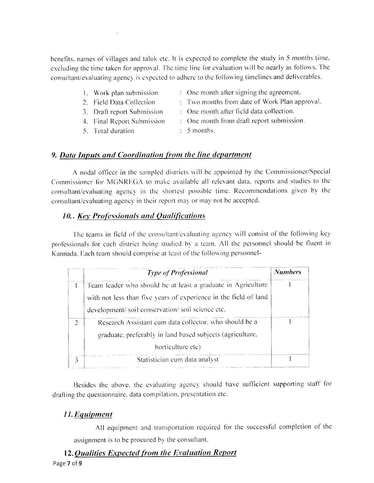benefits, names of villages and taluk etc. It is expected to complete the study in 5 months time, excluding the time taken for approval. The time line for evaluation will be nearly as follows. The consultant/evaluating agency is expected to adhere to the following timelines and deliverables.

- 1. Work plan submission
- 2. Field Data Collection
- 3. Draft report Submission
- 4. Final Report Submission
- 5. Total duration
- : One month after signing the agreement.
- : Two months from date of Work Plan approval.
- : One month after field data collection.
- : One month from draft report submission.
- $: 5$  months.

## 9. Data Inputs and Coordination from the line department

A nodal officer in the sampled districts will be appointed by the Commissioner/Special Commissioner for MGNREGA to make available all relevant data, reports and studies to the consultant/evaluating agency in the shortest possible time. Recommendations given by the consultant/evaluating agency in their report may or may not be accepted.

# **10.. Key Professionals and Qualifications**

The teams in field of the consultant/evaluating agency will consist of the following key professionals for each district being studied by a team. All the personnel should be fluent in Kannada. Each team should comprise at least of the following personnel-

|               | <b>Type of Professional</b>                                      | <b>Numbers</b> |
|---------------|------------------------------------------------------------------|----------------|
|               | Team leader who should be at least a graduate in Agriculture     |                |
|               | with not less than five years of experience in the field of land |                |
|               | development/soil conservation/soil science etc.                  |                |
| $\mathcal{D}$ | Research Assistant cum data collector, who should be a           |                |
|               | graduate, preferably in land based subjects (agriculture,        |                |
|               | horticulture etc)                                                |                |
|               | Statistician cum data analyst                                    |                |

Besides the above, the evaluating agency should have sufficient supporting staff for drafting the questionnaire, data compilation, presentation etc.

# 11. Equipment

All equipment and transportation required for the successful completion of the assignment is to be procured by the consultant.

12. Qualities Expected from the Evaluation Report Page 7 of 9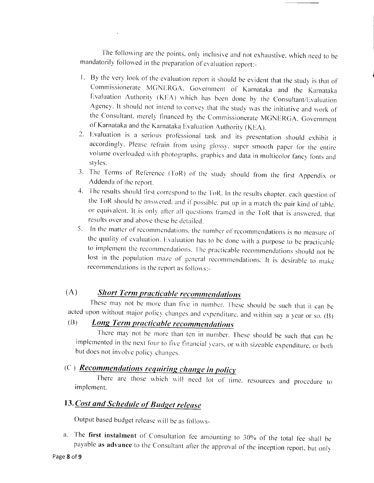The following are the points, only inclusive and not exhaustive, which need to be mandatorily followed in the preparation of evaluation report:-

- 1. By the very look of the evaluation report it should be evident that the study is that of Commissionerate MGNERGA, Government of Karnataka and the Karnataka Evaluation Authority (KEA) which has been done by the Consultant/Evaluation Agency. It should not intend to convey that the study was the initiative and work of the Consultant, merely financed by the Commissionerate MGNERGA, Government of Karnataka and the Karnataka Evaluation Authority (KEA).
- 2. Evaluation is a serious professional task and its presentation should exhibit it accordingly. Please refrain from using glossy, super smooth paper for the entire volume overloaded with photographs, graphics and data in multicolor fancy fonts and styles.
- 3. The Terms of Reference (ToR) of the study should from the first Appendix or Addenda of the report.
- 4. The results should first correspond to the ToR. In the results chapter, each question of the ToR should be answered, and if possible, put up in a match the pair kind of table. or equivalent. It is only after all questions framed in the ToR that is answered, that results over and above these be detailed.
- 5. In the matter of recommendations, the number of recommendations is no measure of the quality of evaluation. Evaluation has to be done with a purpose to be practicable to implement the recommendations. The practicable recommendations should not be lost in the population maze of general recommendations. It is desirable to make recommendations in the report as follows:-

#### $(A)$ **Short Term practicable recommendations**

These may not be more than five in number. These should be such that it can be acted upon without major policy changes and expenditure, and within say a year or so. (B)

#### **Long Term practicable recommendations**  $(B)$

There may not be more than ten in number. These should be such that can be implemented in the next four to five financial years, or with sizeable expenditure, or both but does not involve policy changes.

# (C) Recommendations requiring change in policy

There are those which will need lot of time, resources and procedure to implement.

# 13. Cost and Schedule of Budget release

Output based budget release will be as follows-

a. The first instalment of Consultation fee amounting to 30% of the total fee shall be payable as advance to the Consultant after the approval of the inception report, but only